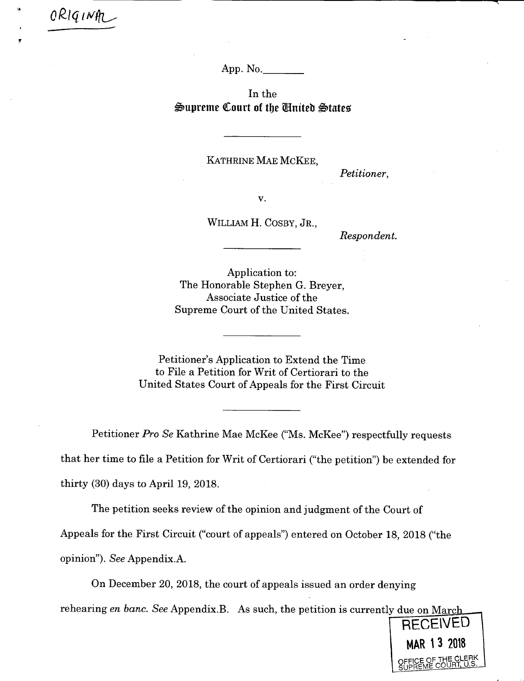App. No.\_\_\_\_\_

In the Supreme Court of the United States

KATHRINE MAE MCKEE,

*Petitioner,* 

**V.** 

WILLIAM H. COSBY, JR.,

*Respondent.* 

Application to: The Honorable Stephen G. Breyer, Associate Justice of the Supreme Court of the United States.

Petitioner's Application to Extend the Time to File a Petition for Writ of Certiorari to the United States Court of Appeals for the First Circuit

Petitioner *Pro Se* Kathrine Mae McKee ("Ms. McKee") respectfully requests that her time to file a Petition for Writ of Certiorari ("the petition") be extended for thirty (30) days to April 19, 2018.

The petition seeks review of the opinion and judgment of the Court of

Appeals for the First Circuit ("court of appeals") entered on October 18, 2018 ("the

opinion"). *See* Appendix.A.

*o11q,w* 

On December 20, 2018, the court of appeals issued an order denying

rehearing *en banc. See* Appendix.B. As such, the petition is currently due on Marc

**RECEIVED** MAR 13 2018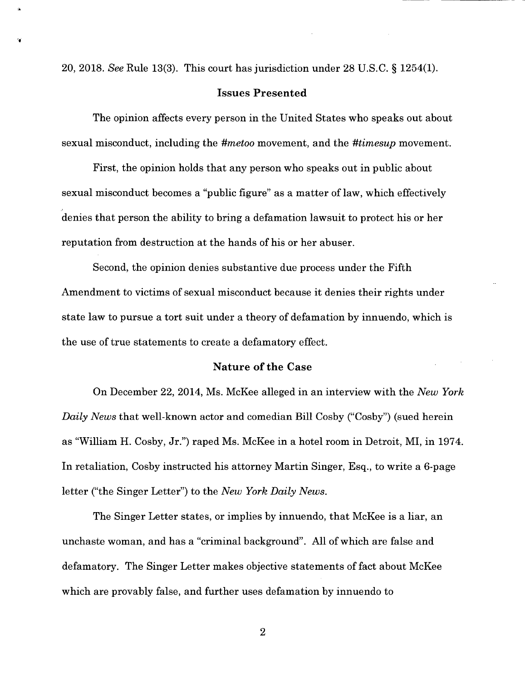20, 2018. *See* Rule 13(3). This *court* has jurisdiction under 28 U.S.C. § 1254(1).

**•1** 

## **Issues Presented**

The opinion affects every person in the United States who speaks out about sexual misconduct, including the *#metoo* movement, and the *#timesup* movement.

First, the opinion holds that any person who speaks out in public about sexual misconduct becomes a "public figure" as a matter of law, which effectively denies that person the ability to bring a defamation lawsuit to protect his or her reputation from destruction at the hands of his or her abuser.

Second, the opinion denies substantive due process under the Fifth Amendment to victims of sexual misconduct because it denies their rights under state law to pursue a tort suit under a theory of defamation by innuendo, which is the use of true statements to create a defamatory effect.

# **Nature of the Case**

On December 22, 2014, Ms. McKee alleged in an interview with the *New York Daily News* that well-known actor and comedian Bill Cosby ("Cosby") (sued herein as "William H. Cosby, Jr.") raped Ms. McKee in a hotel room in Detroit, MI, in 1974. In retaliation, Cosby instructed his attorney Martin Singer, Esq., to write a 6-page letter ("the Singer Letter") to the *New York Daily News.* 

The Singer Letter states, or implies by innuendo, that McKee is a liar, an unchaste woman, and has a "criminal background". All of which are false and defamatory. The Singer Letter makes objective statements of fact about McKee which are provably false, and further uses defamation by innuendo to

 $\overline{2}$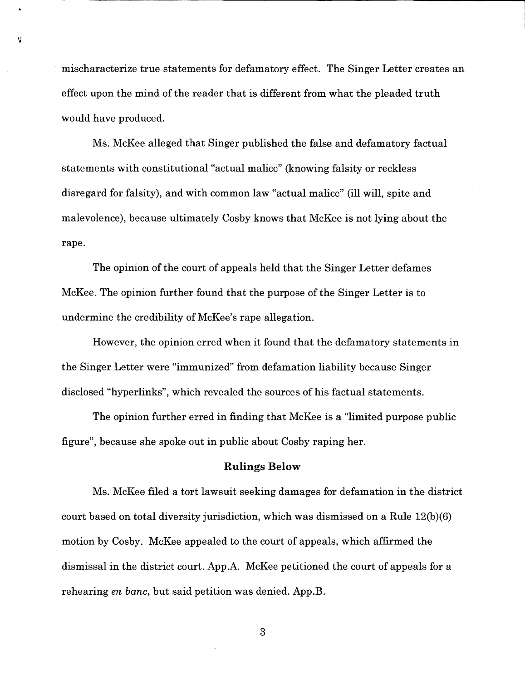mischaracterize true statements for defamatory effect. The Singer Letter creates an effect upon the mind of the reader that is different from what the pleaded truth would have produced.

ł,

Ms. McKee alleged that Singer published the false and defamatory factual statements with constitutional "actual malice" (knowing falsity or reckless disregard for falsity), and with common law "actual malice" (ill will, spite and malevolence), because ultimately Cosby knows that McKee is not lying about the rape.

The opinion of the court of appeals held that the Singer Letter defames McKee. The opinion further found that the purpose of the Singer Letter is to undermine the credibility of McKee's rape allegation.

However, the opinion erred when it found that the defamatory statements in the Singer Letter were "immunized" from defamation liability because Singer disclosed "hyperlinks", which revealed the sources of his factual statements.

The opinion further erred in finding that McKee is a "limited purpose public figure", because she spoke out in public about Cosby raping her.

#### **Rulings Below**

Ms. McKee filed a tort lawsuit seeking damages for defamation in the district court based on total diversity jurisdiction, which was dismissed on a Rule 12(b)(6) motion by Cosby. McKee appealed to the court of appeals, which affirmed the dismissal in the district court. App.A. McKee petitioned the court of appeals for a rehearing *en banc,* but said petition was denied. App.B.

**3**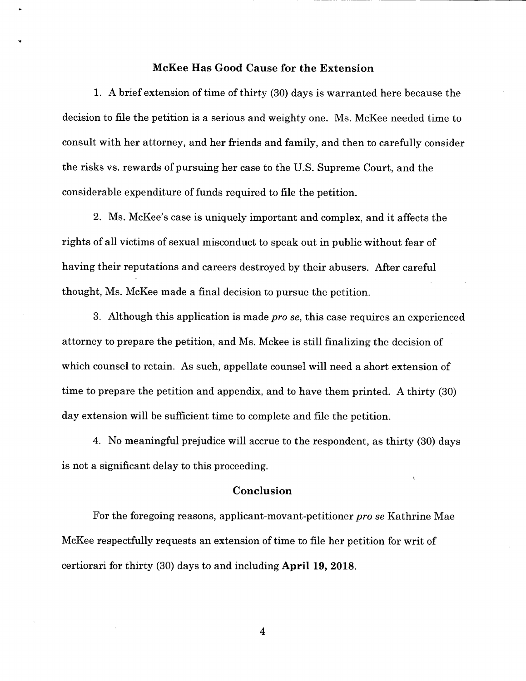### **McKee Has Good Cause for the Extension**

**A** brief extension of time of thirty (30) days is warranted here because the decision to file the petition is a serious and weighty one. Ms. McKee needed time to consult with her attorney, and her friends and family, and then to carefully consider the risks vs. rewards of pursuing her case to the U.S. Supreme Court, and the considerable expenditure of funds required to file the petition.

Ms. McKee's case is uniquely important and complex, and it affects the rights of all victims of sexual misconduct to speak out in public without fear of having their reputations and careers destroyed by their abusers. After careful thought, Ms. McKee made a final decision to pursue the petition.

Although this application is made *pro Se,* this case requires an experienced attorney to prepare the petition, and Ms. Mckee is still finalizing the decision of which counsel to retain. As such, appellate counsel will need a short extension of time to prepare the petition and appendix, and to have them printed. A thirty (30) day extension will be sufficient time to complete and file the petition.

No meaningful prejudice will accrue to the respondent, as thirty (30) days is not a significant delay to this proceeding.

#### **Conclusion**

Ń

For the foregoing reasons, applicant-movant-petitioner *pro se* Kathrine Mae McKee respectfully requests an extension of time to file her petition for writ of certiorari for thirty (30) days to and including **April 19, 2018.** 

4